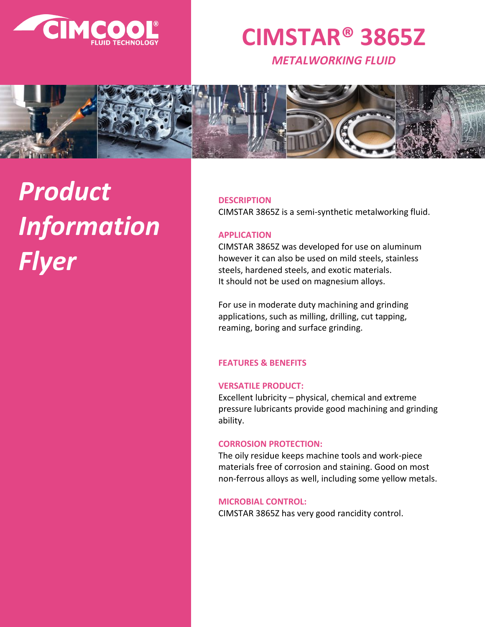

# **CIMSTAR® 3865Z**

*METALWORKING FLUID*



# *Product Information Flyer*

# **DESCRIPTION**

CIMSTAR 3865Z is a semi-synthetic metalworking fluid.

# **APPLICATION**

CIMSTAR 3865Z was developed for use on aluminum however it can also be used on mild steels, stainless steels, hardened steels, and exotic materials. It should not be used on magnesium alloys.

For use in moderate duty machining and grinding applications, such as milling, drilling, cut tapping, reaming, boring and surface grinding.

# **FEATURES & BENEFITS**

# **VERSATILE PRODUCT:**

Excellent lubricity – physical, chemical and extreme pressure lubricants provide good machining and grinding ability.

#### **CORROSION PROTECTION:**

The oily residue keeps machine tools and work-piece materials free of corrosion and staining. Good on most non-ferrous alloys as well, including some yellow metals.

#### **MICROBIAL CONTROL:**

CIMSTAR 3865Z has very good rancidity control.